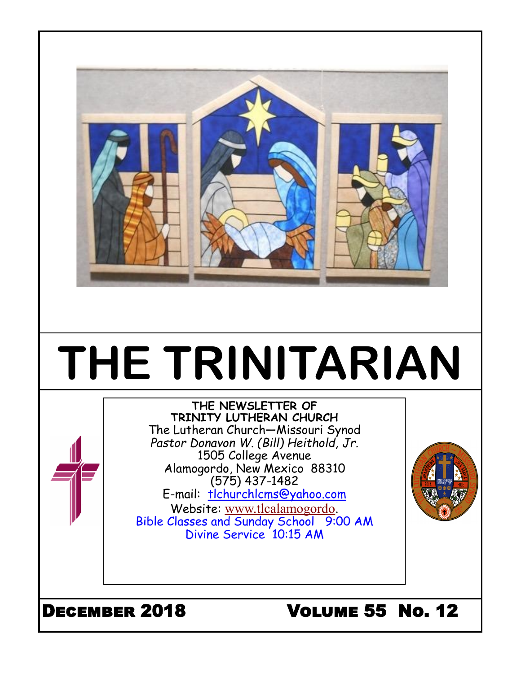

# **THE TRINITARIAN**

#### **THE NEWSLETTER OF TRINITY LUTHERAN CHURCH** The Lutheran Church—Missouri Synod *Pastor Donavon W. (Bill) Heithold, Jr.*

1505 College Avenue Alamogordo, New Mexico 88310

(575) 437-1482 E-mail: tlchurchlcms@yahoo.com Website: [www.tlcalamogordo.](http://www.tlcalamogordo/) Bible Classes and Sunday School 9:00 AM Divine Service 10:15 AM

# December 2018 Volume 55 No. 12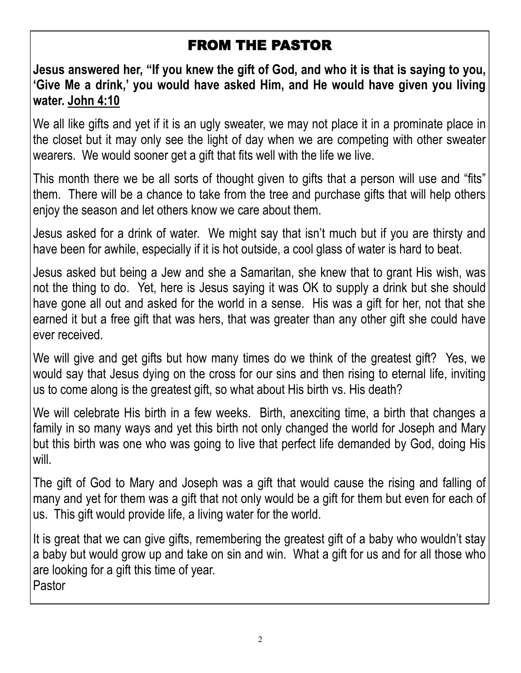## FROM THE PASTOR

**Jesus answered her, "If you knew the gift of God, and who it is that is saying to you, 'Give Me a drink,' you would have asked Him, and He would have given you living water. John 4:10**

We all like gifts and yet if it is an ugly sweater, we may not place it in a prominate place in the closet but it may only see the light of day when we are competing with other sweater wearers. We would sooner get a gift that fits well with the life we live.

This month there we be all sorts of thought given to gifts that a person will use and "fits" them. There will be a chance to take from the tree and purchase gifts that will help others enjoy the season and let others know we care about them.

Jesus asked for a drink of water. We might say that isn't much but if you are thirsty and have been for awhile, especially if it is hot outside, a cool glass of water is hard to beat.

Jesus asked but being a Jew and she a Samaritan, she knew that to grant His wish, was not the thing to do. Yet, here is Jesus saying it was OK to supply a drink but she should have gone all out and asked for the world in a sense. His was a gift for her, not that she earned it but a free gift that was hers, that was greater than any other gift she could have ever received.

We will give and get gifts but how many times do we think of the greatest gift? Yes, we would say that Jesus dying on the cross for our sins and then rising to eternal life, inviting us to come along is the greatest gift, so what about His birth vs. His death?

We will celebrate His birth in a few weeks. Birth, anexciting time, a birth that changes a family in so many ways and yet this birth not only changed the world for Joseph and Mary but this birth was one who was going to live that perfect life demanded by God, doing His will.

The gift of God to Mary and Joseph was a gift that would cause the rising and falling of many and yet for them was a gift that not only would be a gift for them but even for each of us. This gift would provide life, a living water for the world.

It is great that we can give gifts, remembering the greatest gift of a baby who wouldn't stay a baby but would grow up and take on sin and win. What a gift for us and for all those who are looking for a gift this time of year. Pastor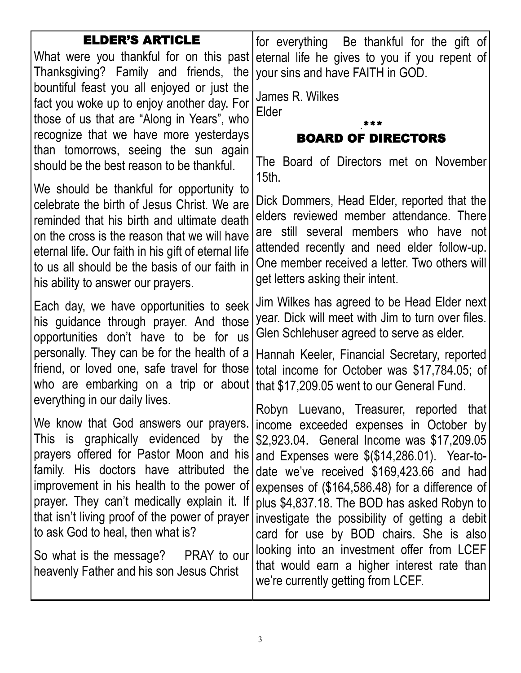| <b>ELDER'S ARTICLE</b>                                                                        |                                                                                             |
|-----------------------------------------------------------------------------------------------|---------------------------------------------------------------------------------------------|
| What were you thankful for on this past                                                       | for everything Be thankful for the gift of<br>eternal life he gives to you if you repent of |
| Thanksgiving? Family and friends, the                                                         | your sins and have FAITH in GOD.                                                            |
| bountiful feast you all enjoyed or just the                                                   |                                                                                             |
| fact you woke up to enjoy another day. For                                                    | James R. Wilkes                                                                             |
| those of us that are "Along in Years", who                                                    | Elder                                                                                       |
| recognize that we have more yesterdays                                                        | <b>BOARD OF DIRECTORS</b>                                                                   |
| than tomorrows, seeing the sun again                                                          |                                                                                             |
| should be the best reason to be thankful.                                                     | The Board of Directors met on November<br>$15th$ .                                          |
| We should be thankful for opportunity to                                                      | Dick Dommers, Head Elder, reported that the                                                 |
| celebrate the birth of Jesus Christ. We are                                                   | elders reviewed member attendance. There                                                    |
| reminded that his birth and ultimate death<br>on the cross is the reason that we will have    | are still several members who have not                                                      |
| eternal life. Our faith in his gift of eternal life                                           | attended recently and need elder follow-up.                                                 |
| to us all should be the basis of our faith in                                                 | One member received a letter. Two others will                                               |
| his ability to answer our prayers.                                                            | get letters asking their intent.                                                            |
| Each day, we have opportunities to seek                                                       | Jim Wilkes has agreed to be Head Elder next                                                 |
| his guidance through prayer. And those                                                        | year. Dick will meet with Jim to turn over files.                                           |
| opportunities don't have to be for us                                                         | Glen Schlehuser agreed to serve as elder.                                                   |
| personally. They can be for the health of a                                                   | Hannah Keeler, Financial Secretary, reported                                                |
| friend, or loved one, safe travel for those                                                   | total income for October was \$17,784.05; of                                                |
| who are embarking on a trip or about                                                          | that \$17,209.05 went to our General Fund.                                                  |
| everything in our daily lives.                                                                | Robyn Luevano, Treasurer, reported that                                                     |
| We know that God answers our prayers.                                                         | income exceeded expenses in October by                                                      |
| This is graphically evidenced by the                                                          | \$2,923.04. General Income was \$17,209.05                                                  |
| prayers offered for Pastor Moon and his                                                       | and Expenses were \$(\$14,286.01). Year-to-                                                 |
| family. His doctors have attributed the                                                       | date we've received \$169,423.66 and had                                                    |
| improvement in his health to the power of                                                     | expenses of (\$164,586.48) for a difference of                                              |
| prayer. They can't medically explain it. If<br>that isn't living proof of the power of prayer | plus \$4,837.18. The BOD has asked Robyn to                                                 |
| to ask God to heal, then what is?                                                             | investigate the possibility of getting a debit                                              |
|                                                                                               | card for use by BOD chairs. She is also<br>looking into an investment offer from LCEF       |
| So what is the message? PRAY to our                                                           | that would earn a higher interest rate than                                                 |
| heavenly Father and his son Jesus Christ                                                      | we're currently getting from LCEF.                                                          |
|                                                                                               |                                                                                             |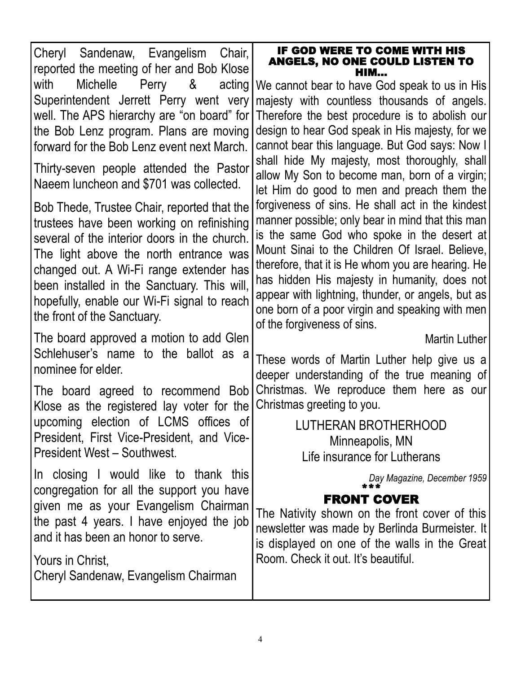| Cheryl Sandenaw, Evangelism Chair,<br>reported the meeting of her and Bob Klose                                                                                                                                                                                                                                                                            | IF GOD WERE TO COME WITH HIS<br><b>ANGELS, NO ONE COULD LISTEN TO</b><br>нім…                                                                                                                                                                                                                                                                                                                                                                     |
|------------------------------------------------------------------------------------------------------------------------------------------------------------------------------------------------------------------------------------------------------------------------------------------------------------------------------------------------------------|---------------------------------------------------------------------------------------------------------------------------------------------------------------------------------------------------------------------------------------------------------------------------------------------------------------------------------------------------------------------------------------------------------------------------------------------------|
| Michelle Perry &<br>with<br>acting<br>Superintendent Jerrett Perry went very<br>well. The APS hierarchy are "on board" for<br>the Bob Lenz program. Plans are moving<br>forward for the Bob Lenz event next March.                                                                                                                                         | We cannot bear to have God speak to us in His<br>majesty with countless thousands of angels.<br>Therefore the best procedure is to abolish our<br>design to hear God speak in His majesty, for we<br>cannot bear this language. But God says: Now I                                                                                                                                                                                               |
| Thirty-seven people attended the Pastor<br>Naeem luncheon and \$701 was collected.                                                                                                                                                                                                                                                                         | shall hide My majesty, most thoroughly, shall<br>allow My Son to become man, born of a virgin;<br>let Him do good to men and preach them the                                                                                                                                                                                                                                                                                                      |
| Bob Thede, Trustee Chair, reported that the<br>trustees have been working on refinishing<br>several of the interior doors in the church.<br>The light above the north entrance was<br>changed out. A Wi-Fi range extender has<br>been installed in the Sanctuary. This will,<br>hopefully, enable our Wi-Fi signal to reach<br>the front of the Sanctuary. | forgiveness of sins. He shall act in the kindest<br>manner possible; only bear in mind that this man<br>is the same God who spoke in the desert at<br>Mount Sinai to the Children Of Israel. Believe,<br>therefore, that it is He whom you are hearing. He<br>has hidden His majesty in humanity, does not<br>appear with lightning, thunder, or angels, but as<br>one born of a poor virgin and speaking with men<br>of the forgiveness of sins. |
| The board approved a motion to add Glen<br>Schlehuser's name to the ballot as a<br>nominee for elder.                                                                                                                                                                                                                                                      | Martin Luther<br>These words of Martin Luther help give us a                                                                                                                                                                                                                                                                                                                                                                                      |
| The board agreed to recommend Bob<br>Klose as the registered lay voter for the                                                                                                                                                                                                                                                                             | deeper understanding of the true meaning of<br>Christmas. We reproduce them here as our<br>Christmas greeting to you.                                                                                                                                                                                                                                                                                                                             |
| upcoming election of LCMS offices of<br>President, First Vice-President, and Vice-<br>President West - Southwest.                                                                                                                                                                                                                                          | LUTHERAN BROTHERHOOD<br>Minneapolis, MN<br>Life insurance for Lutherans                                                                                                                                                                                                                                                                                                                                                                           |
| In closing I would like to thank this<br>congregation for all the support you have<br>given me as your Evangelism Chairman<br>the past 4 years. I have enjoyed the job<br>and it has been an honor to serve.<br>Yours in Christ,<br>Cheryl Sandenaw, Evangelism Chairman                                                                                   | Day Magazine, December 1959<br><b>FRONT COVER</b><br>The Nativity shown on the front cover of this<br>newsletter was made by Berlinda Burmeister. It<br>is displayed on one of the walls in the Great<br>Room. Check it out. It's beautiful.                                                                                                                                                                                                      |
|                                                                                                                                                                                                                                                                                                                                                            |                                                                                                                                                                                                                                                                                                                                                                                                                                                   |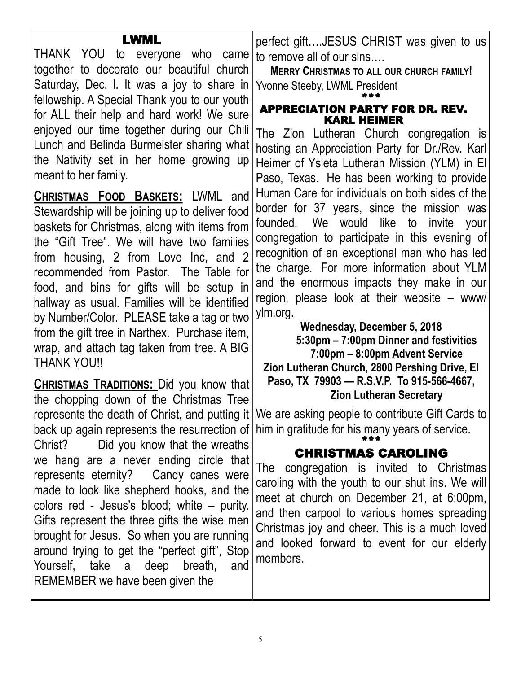| LWML<br>THANK YOU to everyone who came<br>together to decorate our beautiful church<br>Saturday, Dec. I. It was a joy to share in<br>fellowship. A Special Thank you to our youth<br>for ALL their help and hard work! We sure<br>enjoyed our time together during our Chili<br>Lunch and Belinda Burmeister sharing what<br>the Nativity set in her home growing up<br>meant to her family.<br><b>CHRISTMAS FOOD BASKETS: LWML and</b><br>Stewardship will be joining up to deliver food<br>baskets for Christmas, along with items from<br>the "Gift Tree". We will have two families<br>from housing, 2 from Love Inc, and 2<br>recommended from Pastor. The Table for<br>food, and bins for gifts will be setup in<br>hallway as usual. Families will be identified<br>by Number/Color. PLEASE take a tag or two<br>from the gift tree in Narthex. Purchase item,<br>wrap, and attach tag taken from tree. A BIG | perfect giftJESUS CHRIST was given to us<br>to remove all of our sins<br><b>MERRY CHRISTMAS TO ALL OUR CHURCH FAMILY!</b><br>Yvonne Steeby, LWML President<br><b>APPRECIATION PARTY FOR DR. REV.</b><br><b>KARL HEIMER</b><br>The Zion Lutheran Church congregation is<br>hosting an Appreciation Party for Dr./Rev. Karl<br>Heimer of Ysleta Lutheran Mission (YLM) in El<br>Paso, Texas. He has been working to provide<br>Human Care for individuals on both sides of the<br>border for 37 years, since the mission was<br>founded. We would like to invite your<br>congregation to participate in this evening of<br>recognition of an exceptional man who has led<br>the charge. For more information about YLM<br>and the enormous impacts they make in our<br>region, please look at their website – www/<br>ylm.org.<br>Wednesday, December 5, 2018<br>5:30pm - 7:00pm Dinner and festivities<br>7:00pm - 8:00pm Advent Service |
|----------------------------------------------------------------------------------------------------------------------------------------------------------------------------------------------------------------------------------------------------------------------------------------------------------------------------------------------------------------------------------------------------------------------------------------------------------------------------------------------------------------------------------------------------------------------------------------------------------------------------------------------------------------------------------------------------------------------------------------------------------------------------------------------------------------------------------------------------------------------------------------------------------------------|-----------------------------------------------------------------------------------------------------------------------------------------------------------------------------------------------------------------------------------------------------------------------------------------------------------------------------------------------------------------------------------------------------------------------------------------------------------------------------------------------------------------------------------------------------------------------------------------------------------------------------------------------------------------------------------------------------------------------------------------------------------------------------------------------------------------------------------------------------------------------------------------------------------------------------------------|
| <b>THANK YOU!!</b><br><b>CHRISTMAS TRADITIONS:</b> Did you know that<br>the chopping down of the Christmas Tree<br>Did you know that the wreaths<br>Christ?<br>we hang are a never ending circle that<br>represents eternity? Candy canes were<br>made to look like shepherd hooks, and the<br>colors red - Jesus's blood; white – purity.<br>Gifts represent the three gifts the wise men<br>brought for Jesus. So when you are running<br>around trying to get the "perfect gift", Stop<br>Yourself, take a deep breath,<br>and<br>REMEMBER we have been given the                                                                                                                                                                                                                                                                                                                                                 | Zion Lutheran Church, 2800 Pershing Drive, El<br>Paso, TX 79903 - R.S.V.P. To 915-566-4667,<br><b>Zion Lutheran Secretary</b><br>represents the death of Christ, and putting it   We are asking people to contribute Gift Cards to<br>back up again represents the resurrection of him in gratitude for his many years of service.<br><b>CHRISTMAS CAROLING</b><br>The congregation is invited to Christmas<br>caroling with the youth to our shut ins. We will<br>meet at church on December 21, at 6:00pm,<br>and then carpool to various homes spreading<br>Christmas joy and cheer. This is a much loved<br>and looked forward to event for our elderly<br>members.                                                                                                                                                                                                                                                                 |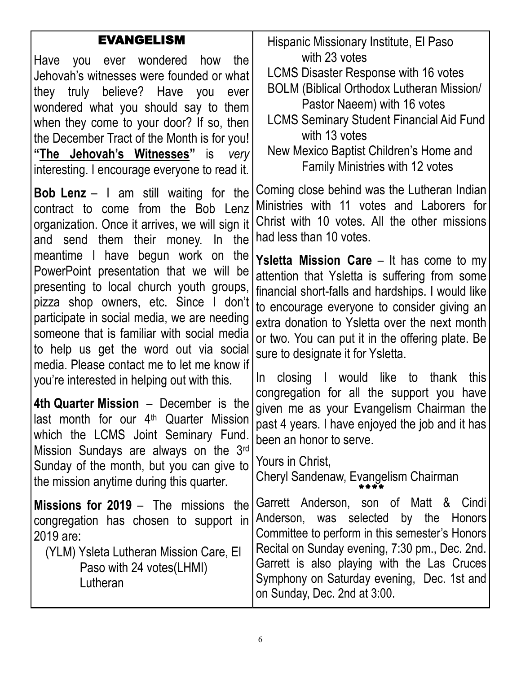## EVANGELISM

Have you ever wondered how the Jehovah's witnesses were founded or what they truly believe? Have you ever wondered what you should say to them when they come to your door? If so, then the December Tract of the Month is for you! **"The Jehovah's Witnesses"** is *very* interesting. I encourage everyone to read it.

**Bob Lenz** – I am still waiting for the contract to come from the Bob Lenz organization. Once it arrives, we will sign it and send them their money. In the meantime I have begun work on the PowerPoint presentation that we will be presenting to local church youth groups, pizza shop owners, etc. Since I don't participate in social media, we are needing someone that is familiar with social media to help us get the word out via social media. Please contact me to let me know if you're interested in helping out with this.

**4th Quarter Mission** – December is the last month for our 4<sup>th</sup> Quarter Mission which the LCMS Joint Seminary Fund. Mission Sundays are always on the 3rd Sunday of the month, but you can give to the mission anytime during this quarter.

**Missions for 2019** – The missions the congregation has chosen to support in 2019 are:

(YLM) Ysleta Lutheran Mission Care, El Paso with 24 votes(LHMI) Lutheran

Hispanic Missionary Institute, El Paso with 23 votes

LCMS Disaster Response with 16 votes

BOLM (Biblical Orthodox Lutheran Mission/ Pastor Naeem) with 16 votes

LCMS Seminary Student Financial Aid Fund with 13 votes

New Mexico Baptist Children's Home and Family Ministries with 12 votes

Coming close behind was the Lutheran Indian Ministries with 11 votes and Laborers for Christ with 10 votes. All the other missions had less than 10 votes.

**Ysletta Mission Care** – It has come to my attention that Ysletta is suffering from some financial short-falls and hardships. I would like to encourage everyone to consider giving an extra donation to Ysletta over the next month or two. You can put it in the offering plate. Be sure to designate it for Ysletta.

In closing I would like to thank this congregation for all the support you have given me as your Evangelism Chairman the past 4 years. I have enjoyed the job and it has been an honor to serve.

Yours in Christ,

Cheryl Sandenaw, Evangelism Chairman \*\*\*\*

Garrett Anderson, son of Matt & Cindi Anderson, was selected by the Honors Committee to perform in this semester's Honors Recital on Sunday evening, 7:30 pm., Dec. 2nd. Garrett is also playing with the Las Cruces Symphony on Saturday evening, Dec. 1st and on Sunday, Dec. 2nd at 3:00.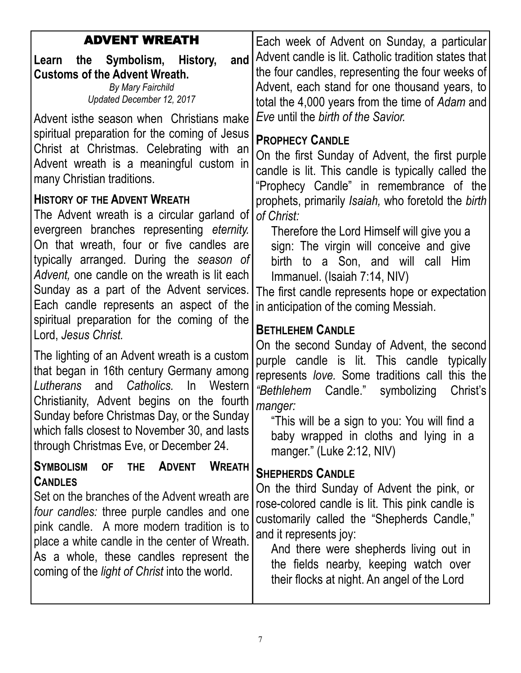| <b>ADVENT WREATH</b>                                                                                                                                                                                                                                                                                                                                                                                                                                                                                                                                                                                                                                                                                                                                                  | Each week of Advent on Sunday, a particular                                                                                                                                                                                                                                                                                                                                                                                                                                                                                                                                                                                                                                                 |
|-----------------------------------------------------------------------------------------------------------------------------------------------------------------------------------------------------------------------------------------------------------------------------------------------------------------------------------------------------------------------------------------------------------------------------------------------------------------------------------------------------------------------------------------------------------------------------------------------------------------------------------------------------------------------------------------------------------------------------------------------------------------------|---------------------------------------------------------------------------------------------------------------------------------------------------------------------------------------------------------------------------------------------------------------------------------------------------------------------------------------------------------------------------------------------------------------------------------------------------------------------------------------------------------------------------------------------------------------------------------------------------------------------------------------------------------------------------------------------|
| and<br>the Symbolism, History,<br>Learn<br><b>Customs of the Advent Wreath.</b><br>By Mary Fairchild<br>Updated December 12, 2017<br>Advent isthe season when Christians make                                                                                                                                                                                                                                                                                                                                                                                                                                                                                                                                                                                         | Advent candle is lit. Catholic tradition states that<br>the four candles, representing the four weeks of<br>Advent, each stand for one thousand years, to<br>total the 4,000 years from the time of Adam and<br>Eve until the birth of the Savior.                                                                                                                                                                                                                                                                                                                                                                                                                                          |
| spiritual preparation for the coming of Jesus<br>Christ at Christmas. Celebrating with an<br>Advent wreath is a meaningful custom in<br>many Christian traditions.                                                                                                                                                                                                                                                                                                                                                                                                                                                                                                                                                                                                    | <b>PROPHECY CANDLE</b><br>On the first Sunday of Advent, the first purple<br>candle is lit. This candle is typically called the<br>"Prophecy Candle" in remembrance of the                                                                                                                                                                                                                                                                                                                                                                                                                                                                                                                  |
| <b>HISTORY OF THE ADVENT WREATH</b><br>The Advent wreath is a circular garland of<br>evergreen branches representing eternity.<br>On that wreath, four or five candles are<br>typically arranged. During the season of<br>Advent, one candle on the wreath is lit each<br>Sunday as a part of the Advent services.<br>Each candle represents an aspect of the<br>spiritual preparation for the coming of the<br>Lord, Jesus Christ.<br>The lighting of an Advent wreath is a custom<br>that began in 16th century Germany among<br>Catholics. In<br>Lutherans<br>and<br>Western<br>Christianity, Advent begins on the fourth<br>Sunday before Christmas Day, or the Sunday<br>which falls closest to November 30, and lasts<br>through Christmas Eve, or December 24. | prophets, primarily Isaiah, who foretold the birth<br>of Christ:<br>Therefore the Lord Himself will give you a<br>sign: The virgin will conceive and give<br>birth to a Son, and will call Him<br>Immanuel. (Isaiah 7:14, NIV)<br>The first candle represents hope or expectation<br>in anticipation of the coming Messiah.<br><b>BETHLEHEM CANDLE</b><br>On the second Sunday of Advent, the second<br>purple candle is lit. This candle typically<br>represents love. Some traditions call this the<br>"Bethlehem<br>Candle."<br>symbolizing<br>Christ's<br>manger:<br>"This will be a sign to you: You will find a<br>baby wrapped in cloths and lying in a<br>manger." (Luke 2:12, NIV) |
| <b>WREATH</b><br><b>SYMBOLISM</b><br><b>ADVENT</b><br><b>OF</b><br><b>THE</b><br><b>CANDLES</b><br>Set on the branches of the Advent wreath are<br>four candles: three purple candles and one<br>pink candle. A more modern tradition is to<br>place a white candle in the center of Wreath.<br>As a whole, these candles represent the<br>coming of the <i>light of Christ</i> into the world.                                                                                                                                                                                                                                                                                                                                                                       | <b>SHEPHERDS CANDLE</b><br>On the third Sunday of Advent the pink, or<br>rose-colored candle is lit. This pink candle is<br>customarily called the "Shepherds Candle,"<br>and it represents joy:<br>And there were shepherds living out in<br>the fields nearby, keeping watch over<br>their flocks at night. An angel of the Lord                                                                                                                                                                                                                                                                                                                                                          |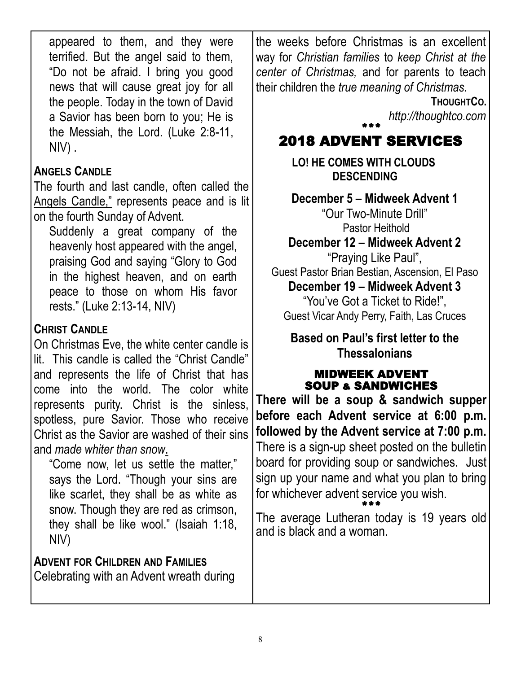appeared to them, and they were terrified. But the angel said to them, "Do not be afraid. I bring you good news that will cause great joy for all the people. Today in the town of David a Savior has been born to you; He is the Messiah, the Lord. (Luke 2:8-11, NIV) .

## **ANGELS CANDLE**

The fourth and last candle, often called the Angels Candle," represents peace and is lit on the fourth Sunday of Advent.

Suddenly a great company of the heavenly host appeared with the angel, praising God and saying "Glory to God in the highest heaven, and on earth peace to those on whom His favor rests." (Luke 2:13-14, NIV)

## **CHRIST CANDLE**

On Christmas Eve, the white center candle is lit. This candle is called the "Christ Candle" and represents the life of Christ that has come into the world. The color white represents purity. Christ is the sinless, spotless, pure Savior. Those who receive Christ as the Savior are washed of their sins and *made whiter than snow*.

"Come now, let us settle the matter," says the Lord. "Though your sins are like scarlet, they shall be as white as snow. Though they are red as crimson, they shall be like wool." (Isaiah 1:18, NIV)

**ADVENT FOR CHILDREN AND FAMILIES** Celebrating with an Advent wreath during the weeks before Christmas is an excellent way for *Christian families* to *keep Christ at the center of Christmas,* and for parents to teach their children the *true meaning of Christmas.*

**THOUGHTCO.**

*http://thoughtco.com*

## \*\*\* 2018 ADVENT SERVICES

**LO! HE COMES WITH CLOUDS DESCENDING**

**December 5 – Midweek Advent 1** "Our Two-Minute Drill" Pastor Heithold

**December 12 – Midweek Advent 2** "Praying Like Paul", Guest Pastor Brian Bestian, Ascension, El Paso **December 19 – Midweek Advent 3** "You've Got a Ticket to Ride!", Guest Vicar Andy Perry, Faith, Las Cruces

**Based on Paul's first letter to the Thessalonians**

## MIDWEEK ADVENT SOUP & SANDWICHES

**There will be a soup & sandwich supper before each Advent service at 6:00 p.m. followed by the Advent service at 7:00 p.m.** There is a sign-up sheet posted on the bulletin board for providing soup or sandwiches. Just sign up your name and what you plan to bring for whichever advent service you wish. \*\*\*

The average Lutheran today is 19 years old and is black and a woman.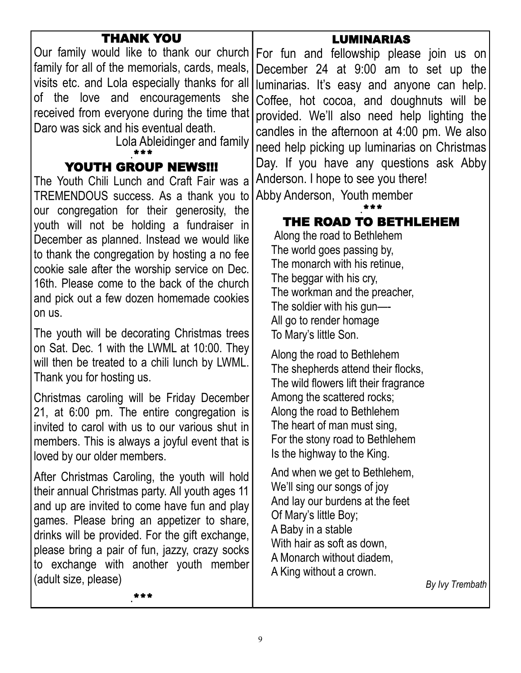| THANK YOU<br>family for all of the memorials, cards, meals,<br>visits etc. and Lola especially thanks for all<br>of the love and encouragements she<br>received from everyone during the time that<br>Daro was sick and his eventual death.<br>Lola Ableidinger and family<br><b>YOUTH GROUP NEWS!!!</b><br>The Youth Chili Lunch and Craft Fair was a<br>TREMENDOUS success. As a thank you to                                              | <b>LUMINARIAS</b><br>Our family would like to thank our church For fun and fellowship please join us on<br>December 24 at 9:00 am to set up the<br>Iluminarias. It's easy and anyone can help.<br>Coffee, hot cocoa, and doughnuts will be<br>provided. We'll also need help lighting the<br>candles in the afternoon at 4:00 pm. We also<br>need help picking up luminarias on Christmas<br>Day. If you have any questions ask Abby<br>Anderson. I hope to see you there!<br>Abby Anderson, Youth member |
|----------------------------------------------------------------------------------------------------------------------------------------------------------------------------------------------------------------------------------------------------------------------------------------------------------------------------------------------------------------------------------------------------------------------------------------------|-----------------------------------------------------------------------------------------------------------------------------------------------------------------------------------------------------------------------------------------------------------------------------------------------------------------------------------------------------------------------------------------------------------------------------------------------------------------------------------------------------------|
| our congregation for their generosity, the<br>youth will not be holding a fundraiser in<br>December as planned. Instead we would like<br>to thank the congregation by hosting a no fee<br>cookie sale after the worship service on Dec.<br>16th. Please come to the back of the church<br>and pick out a few dozen homemade cookies<br>on us.<br>The youth will be decorating Christmas trees<br>on Sat. Dec. 1 with the LWML at 10:00. They | THE ROAD TO BETHLEHEM<br>Along the road to Bethlehem<br>The world goes passing by,<br>The monarch with his retinue,<br>The beggar with his cry,<br>The workman and the preacher,<br>The soldier with his gun-<br>All go to render homage<br>To Mary's little Son.<br>Along the road to Bethlehem                                                                                                                                                                                                          |
| will then be treated to a chili lunch by LWML.<br>Thank you for hosting us.<br>Christmas caroling will be Friday December<br>21, at 6:00 pm. The entire congregation is<br>invited to carol with us to our various shut in<br>members. This is always a joyful event that is<br>loved by our older members.                                                                                                                                  | The shepherds attend their flocks,<br>The wild flowers lift their fragrance<br>Among the scattered rocks;<br>Along the road to Bethlehem<br>The heart of man must sing,<br>For the stony road to Bethlehem<br>Is the highway to the King.                                                                                                                                                                                                                                                                 |
| After Christmas Caroling, the youth will hold<br>their annual Christmas party. All youth ages 11<br>and up are invited to come have fun and play<br>games. Please bring an appetizer to share,<br>drinks will be provided. For the gift exchange,<br>please bring a pair of fun, jazzy, crazy socks<br>to exchange with another youth member<br>(adult size, please)                                                                         | And when we get to Bethlehem,<br>We'll sing our songs of joy<br>And lay our burdens at the feet<br>Of Mary's little Boy;<br>A Baby in a stable<br>With hair as soft as down,<br>A Monarch without diadem,<br>A King without a crown.<br>By lvy Trembath                                                                                                                                                                                                                                                   |
| ***                                                                                                                                                                                                                                                                                                                                                                                                                                          |                                                                                                                                                                                                                                                                                                                                                                                                                                                                                                           |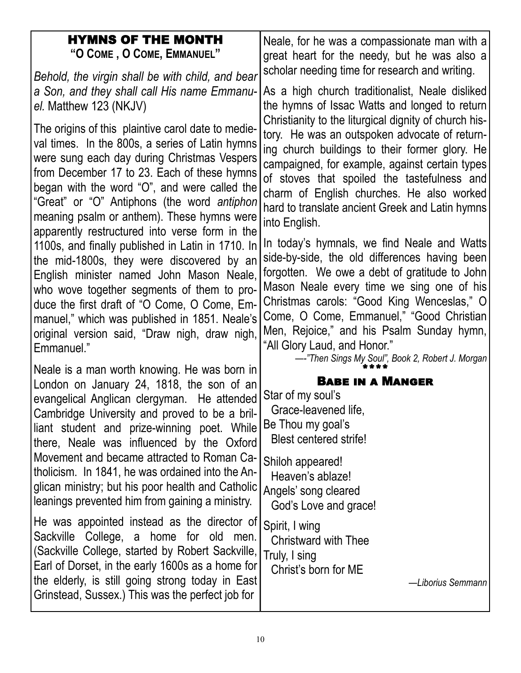| <b>HYMNS OF THE MONTH</b><br>"O COME, O COME, EMMANUEL"<br>Behold, the virgin shall be with child, and bear<br>a Son, and they shall call His name Emmanu-<br>el. Matthew 123 (NKJV)<br>The origins of this plaintive carol date to medie-<br>val times. In the 800s, a series of Latin hymns<br>were sung each day during Christmas Vespers<br>from December 17 to 23. Each of these hymns<br>began with the word "O", and were called the<br>"Great" or "O" Antiphons (the word antiphon<br>meaning psalm or anthem). These hymns were<br>apparently restructured into verse form in the<br>1100s, and finally published in Latin in 1710. In<br>the mid-1800s, they were discovered by an<br>English minister named John Mason Neale,<br>who wove together segments of them to pro-<br>duce the first draft of "O Come, O Come, Em-<br>manuel," which was published in 1851. Neale's<br>original version said, "Draw nigh, draw nigh, | Neale, for he was a compassionate man with a<br>great heart for the needy, but he was also a<br>scholar needing time for research and writing.<br>As a high church traditionalist, Neale disliked<br>the hymns of Issac Watts and longed to return<br>Christianity to the liturgical dignity of church his-<br>tory. He was an outspoken advocate of return-<br>ing church buildings to their former glory. He<br>campaigned, for example, against certain types<br>of stoves that spoiled the tastefulness and<br>charm of English churches. He also worked<br>hard to translate ancient Greek and Latin hymns<br>into English.<br>In today's hymnals, we find Neale and Watts<br>side-by-side, the old differences having been<br>forgotten. We owe a debt of gratitude to John<br>Mason Neale every time we sing one of his<br>Christmas carols: "Good King Wenceslas," O<br>Come, O Come, Emmanuel," "Good Christian<br>Men, Rejoice," and his Psalm Sunday hymn,<br>"All Glory Laud, and Honor." |
|------------------------------------------------------------------------------------------------------------------------------------------------------------------------------------------------------------------------------------------------------------------------------------------------------------------------------------------------------------------------------------------------------------------------------------------------------------------------------------------------------------------------------------------------------------------------------------------------------------------------------------------------------------------------------------------------------------------------------------------------------------------------------------------------------------------------------------------------------------------------------------------------------------------------------------------|-------------------------------------------------------------------------------------------------------------------------------------------------------------------------------------------------------------------------------------------------------------------------------------------------------------------------------------------------------------------------------------------------------------------------------------------------------------------------------------------------------------------------------------------------------------------------------------------------------------------------------------------------------------------------------------------------------------------------------------------------------------------------------------------------------------------------------------------------------------------------------------------------------------------------------------------------------------------------------------------------------|
| Emmanuel."<br>Neale is a man worth knowing. He was born in<br>London on January 24, 1818, the son of an<br>evangelical Anglican clergyman. He attended<br>Cambridge University and proved to be a bril-<br>liant student and prize-winning poet. While<br>there, Neale was influenced by the Oxford<br>Movement and became attracted to Roman Ca-<br>tholicism. In 1841, he was ordained into the An-<br>glican ministry; but his poor health and Catholic<br>leanings prevented him from gaining a ministry.<br>He was appointed instead as the director of<br>Sackville College, a home for old men.<br>(Sackville College, started by Robert Sackville,<br>Earl of Dorset, in the early 1600s as a home for<br>the elderly, is still going strong today in East<br>Grinstead, Sussex.) This was the perfect job for                                                                                                                   | ---"Then Sings My Soul", Book 2, Robert J. Morgan<br><b>BABE IN A MANGER</b><br>Star of my soul's<br>Grace-leavened life,<br>Be Thou my goal's<br><b>Blest centered strife!</b><br>Shiloh appeared!<br>Heaven's ablaze!<br>Angels' song cleared<br>God's Love and grace!<br>Spirit, I wing<br>Christward with Thee<br>Truly, I sing<br>Christ's born for ME<br>-Liborius Semmann                                                                                                                                                                                                                                                                                                                                                                                                                                                                                                                                                                                                                      |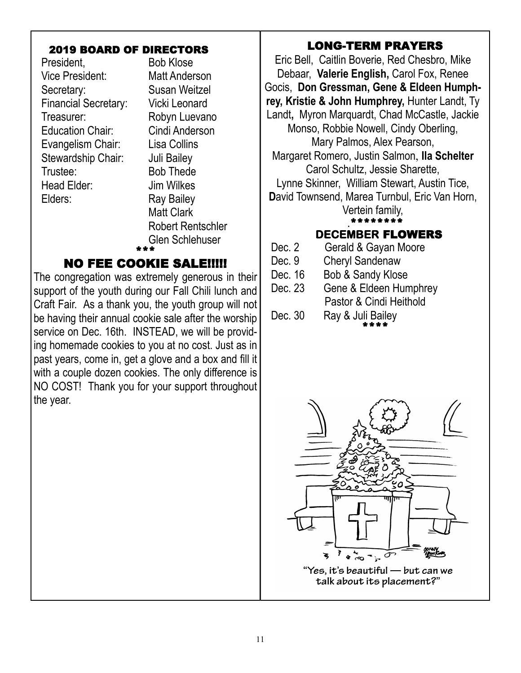#### 2019 BOARD OF DIRECTORS

President, Bob Klose Vice President: Matt Anderson Secretary: Susan Weitzel Financial Secretary: Vicki Leonard Treasurer: Robyn Luevano Education Chair: Cindi Anderson Evangelism Chair: Lisa Collins Stewardship Chair: Juli Bailey Trustee: Bob Thede Head Elder: Jim Wilkes Elders: Ray Bailey

Matt Clark Robert Rentschler Glen Schlehuser

#### \*\*\* NO FEE COOKIE SALE!!!!!

The congregation was extremely generous in their support of the youth during our Fall Chili lunch and Craft Fair. As a thank you, the youth group will not be having their annual cookie sale after the worship service on Dec. 16th. INSTEAD, we will be providing homemade cookies to you at no cost. Just as in past years, come in, get a glove and a box and fill it with a couple dozen cookies. The only difference is NO COST! Thank you for your support throughout the year.

#### $\overline{a}$ LONG-TERM PRAYERS

Eric Bell, Caitlin Boverie, Red Chesbro, Mike Debaar, **Valerie English,** Carol Fox, Renee Gocis, **Don Gressman, Gene & Eldeen Humphrey, Kristie & John Humphrey,** Hunter Landt, Ty Landt**,** Myron Marquardt, Chad McCastle, Jackie Monso, Robbie Nowell, Cindy Oberling, Mary Palmos, Alex Pearson, Margaret Romero, Justin Salmon, **Ila Schelter** Carol Schultz, Jessie Sharette, Lynne Skinner, William Stewart, Austin Tice, **D**avid Townsend, Marea Turnbul, Eric Van Horn, Vertein family, .\*\*\*\*\*\*\*\* **DECEMBER** FLOWERS Dec. 2 Gerald & Gayan Moore

- Dec. 9 Cheryl Sandenaw
- Dec. 16 Bob & Sandy Klose
- Dec. 23 Gene & Eldeen Humphrey Pastor & Cindi Heithold
- Dec. 30 Ray & Juli Bailey \*\*\*\*